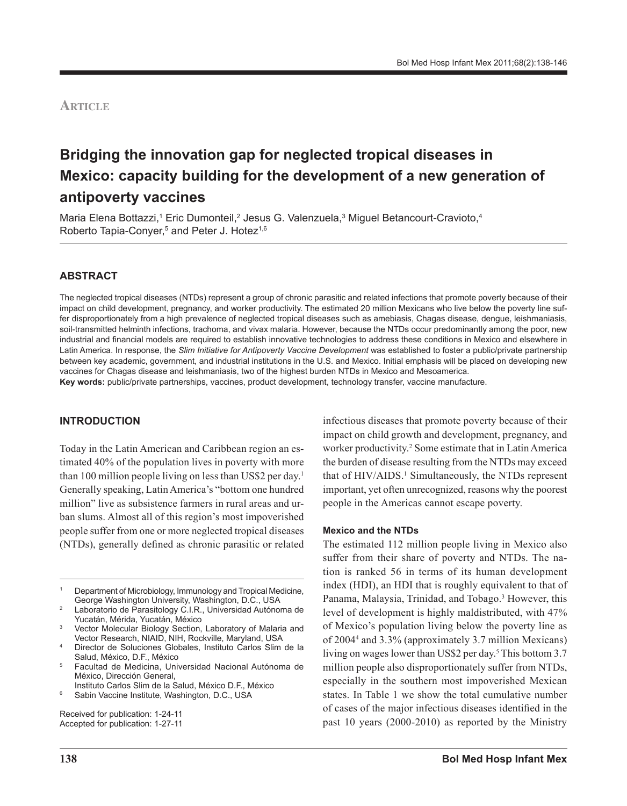## **Article**

# **Bridging the innovation gap for neglected tropical diseases in Mexico: capacity building for the development of a new generation of antipoverty vaccines**

Maria Elena Bottazzi,1 Eric Dumonteil,<sup>2</sup> Jesus G. Valenzuela,<sup>3</sup> Miguel Betancourt-Cravioto,<sup>4</sup> Roberto Tapia-Conyer,<sup>5</sup> and Peter J. Hotez<sup>1,6</sup>

## **ABSTRACT**

The neglected tropical diseases (NTDs) represent a group of chronic parasitic and related infections that promote poverty because of their impact on child development, pregnancy, and worker productivity. The estimated 20 million Mexicans who live below the poverty line suffer disproportionately from a high prevalence of neglected tropical diseases such as amebiasis, Chagas disease, dengue, leishmaniasis, soil-transmitted helminth infections, trachoma, and vivax malaria. However, because the NTDs occur predominantly among the poor, new industrial and financial models are required to establish innovative technologies to address these conditions in Mexico and elsewhere in Latin America. In response, the Slim Initiative for Antipoverty Vaccine Development was established to foster a public/private partnership between key academic, government, and industrial institutions in the U.S. and Mexico. Initial emphasis will be placed on developing new vaccines for Chagas disease and leishmaniasis, two of the highest burden NTDs in Mexico and Mesoamerica.

**Key words:** public/private partnerships, vaccines, product development, technology transfer, vaccine manufacture.

#### **INTRODUCTION**

Today in the Latin American and Caribbean region an estimated 40% of the population lives in poverty with more than 100 million people living on less than US\$2 per day.<sup>1</sup> Generally speaking, Latin America's "bottom one hundred million" live as subsistence farmers in rural areas and urban slums. Almost all of this region's most impoverished people suffer from one or more neglected tropical diseases (NTDs), generally defined as chronic parasitic or related

- Instituto Carlos Slim de la Salud, México D.F., México
- <sup>6</sup> Sabin Vaccine Institute, Washington, D.C., USA

Received for publication: 1-24-11 Accepted for publication: 1-27-11

infectious diseases that promote poverty because of their impact on child growth and development, pregnancy, and worker productivity.<sup>2</sup> Some estimate that in Latin America the burden of disease resulting from the NTDs may exceed that of HIV/AIDS.<sup>1</sup> Simultaneously, the NTDs represent important, yet often unrecognized, reasons why the poorest people in the Americas cannot escape poverty.

#### **Mexico and the NTDs**

The estimated 112 million people living in Mexico also suffer from their share of poverty and NTDs. The nation is ranked 56 in terms of its human development index (HDI), an HDI that is roughly equivalent to that of Panama, Malaysia, Trinidad, and Tobago.<sup>3</sup> However, this level of development is highly maldistributed, with 47% of Mexico's population living below the poverty line as of 20044 and 3.3% (approximately 3.7 million Mexicans) living on wages lower than US\$2 per day.<sup>5</sup> This bottom 3.7 million people also disproportionately suffer from NTDs, especially in the southern most impoverished Mexican states. In Table 1 we show the total cumulative number of cases of the major infectious diseases identified in the past 10 years (2000-2010) as reported by the Ministry

<sup>1</sup> Department of Microbiology, Immunology and Tropical Medicine, George Washington University, Washington, D.C., USA

Laboratorio de Parasitology C.I.R., Universidad Autónoma de Yucatán, Mérida, Yucatán, México

<sup>3</sup> Vector Molecular Biology Section, Laboratory of Malaria and Vector Research, NIAID, NIH, Rockville, Maryland, USA

<sup>4</sup> Director de Soluciones Globales, Instituto Carlos Slim de la Salud, México, D.F., México

<sup>5</sup> Facultad de Medicina, Universidad Nacional Autónoma de México, Dirección General,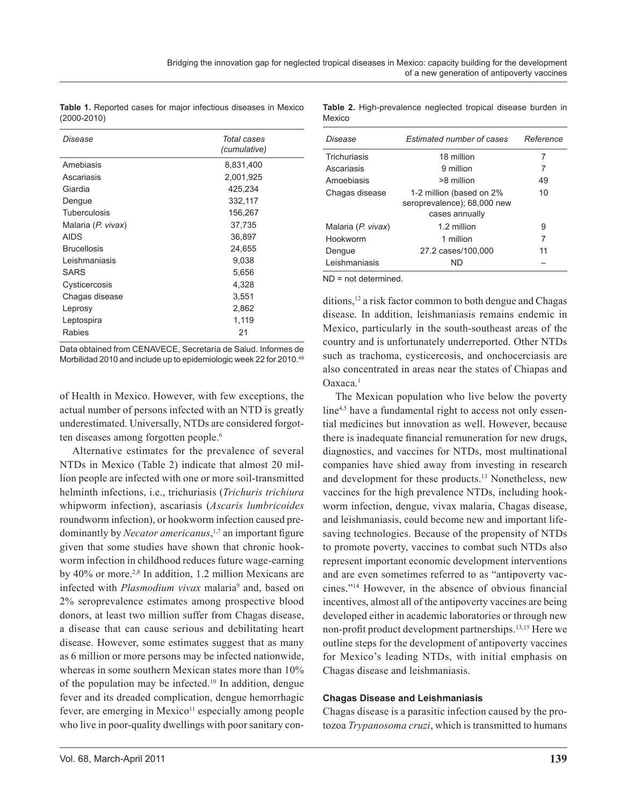**Table 1.** Reported cases for major infectious diseases in Mexico (2000-2010)

| Disease            | Total cases<br>(cumulative) |
|--------------------|-----------------------------|
| Amebiasis          | 8,831,400                   |
| Ascariasis         | 2,001,925                   |
| Giardia            | 425,234                     |
| Dengue             | 332,117                     |
| Tuberculosis       | 156,267                     |
| Malaria (P. vivax) | 37,735                      |
| AIDS               | 36,897                      |
| <b>Brucellosis</b> | 24,655                      |
| Leishmaniasis      | 9.038                       |
| <b>SARS</b>        | 5,656                       |
| Cysticercosis      | 4,328                       |
| Chagas disease     | 3,551                       |
| Leprosy            | 2,862                       |
| Leptospira         | 1,119                       |
| Rabies             | 21                          |

Data obtained from CENAVECE, Secretaría de Salud. Informes de Morbilidad 2010 and include up to epidemiologic week 22 for 2010.49

of Health in Mexico. However, with few exceptions, the actual number of persons infected with an NTD is greatly underestimated. Universally, NTDs are considered forgotten diseases among forgotten people.<sup>6</sup>

Alternative estimates for the prevalence of several NTDs in Mexico (Table 2) indicate that almost 20 million people are infected with one or more soil-transmitted helminth infections, i.e., trichuriasis (*Trichuris trichiura* whipworm infection), ascariasis (*Ascaris lumbricoides* roundworm infection), or hookworm infection caused predominantly by *Necator americanus*, 1,7 an important figure given that some studies have shown that chronic hookworm infection in childhood reduces future wage-earning by  $40\%$  or more.<sup>2,8</sup> In addition, 1.2 million Mexicans are infected with *Plasmodium vivax* malaria<sup>9</sup> and, based on 2% seroprevalence estimates among prospective blood donors, at least two million suffer from Chagas disease, a disease that can cause serious and debilitating heart disease. However, some estimates suggest that as many as 6 million or more persons may be infected nationwide, whereas in some southern Mexican states more than 10% of the population may be infected.10 In addition, dengue fever and its dreaded complication, dengue hemorrhagic fever, are emerging in Mexico $11$  especially among people who live in poor-quality dwellings with poor sanitary con-

**Table 2.** High-prevalence neglected tropical disease burden in Mexico

| Disease            | <b>Estimated number of cases</b>                                          | Reference |
|--------------------|---------------------------------------------------------------------------|-----------|
| Trichuriasis       | 18 million                                                                | 7         |
| Ascariasis         | 9 million                                                                 | 7         |
| Amoebiasis         | >8 million                                                                | 49        |
| Chagas disease     | 1-2 million (based on 2%<br>seroprevalence); 68,000 new<br>cases annually | 10        |
| Malaria (P. vivax) | 1.2 million                                                               | 9         |
| Hookworm           | 1 million                                                                 | 7         |
| Dengue             | 27.2 cases/100,000                                                        | 11        |
| Leishmaniasis      | ND.                                                                       |           |

ND = not determined.

ditions,12 a risk factor common to both dengue and Chagas disease. In addition, leishmaniasis remains endemic in Mexico, particularly in the south-southeast areas of the country and is unfortunately underreported. Other NTDs such as trachoma, cysticercosis, and onchocerciasis are also concentrated in areas near the states of Chiapas and Oaxaca.1

The Mexican population who live below the poverty line<sup>4,5</sup> have a fundamental right to access not only essential medicines but innovation as well. However, because there is inadequate financial remuneration for new drugs, diagnostics, and vaccines for NTDs, most multinational companies have shied away from investing in research and development for these products.13 Nonetheless, new vaccines for the high prevalence NTDs, including hookworm infection, dengue, vivax malaria, Chagas disease, and leishmaniasis, could become new and important lifesaving technologies. Because of the propensity of NTDs to promote poverty, vaccines to combat such NTDs also represent important economic development interventions and are even sometimes referred to as "antipoverty vaccines."14 However, in the absence of obvious financial incentives, almost all of the antipoverty vaccines are being developed either in academic laboratories or through new non-profit product development partnerships.13,15 Here we outline steps for the development of antipoverty vaccines for Mexico's leading NTDs, with initial emphasis on Chagas disease and leishmaniasis.

#### **Chagas Disease and Leishmaniasis**

Chagas disease is a parasitic infection caused by the protozoa *Trypanosoma cruzi*, which is transmitted to humans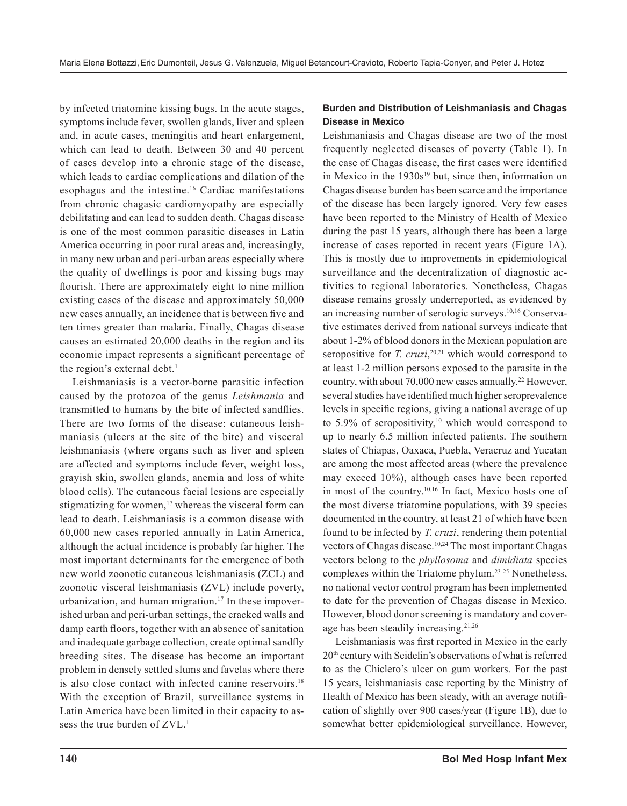by infected triatomine kissing bugs. In the acute stages, symptoms include fever, swollen glands, liver and spleen and, in acute cases, meningitis and heart enlargement, which can lead to death. Between 30 and 40 percent of cases develop into a chronic stage of the disease, which leads to cardiac complications and dilation of the esophagus and the intestine.16 Cardiac manifestations from chronic chagasic cardiomyopathy are especially debilitating and can lead to sudden death. Chagas disease is one of the most common parasitic diseases in Latin America occurring in poor rural areas and, increasingly, in many new urban and peri-urban areas especially where the quality of dwellings is poor and kissing bugs may flourish. There are approximately eight to nine million existing cases of the disease and approximately 50,000 new cases annually, an incidence that is between five and ten times greater than malaria. Finally, Chagas disease causes an estimated 20,000 deaths in the region and its economic impact represents a significant percentage of the region's external debt.<sup>1</sup>

Leishmaniasis is a vector-borne parasitic infection caused by the protozoa of the genus *Leishmania* and transmitted to humans by the bite of infected sandflies. There are two forms of the disease: cutaneous leishmaniasis (ulcers at the site of the bite) and visceral leishmaniasis (where organs such as liver and spleen are affected and symptoms include fever, weight loss, grayish skin, swollen glands, anemia and loss of white blood cells). The cutaneous facial lesions are especially stigmatizing for women,<sup>17</sup> whereas the visceral form can lead to death. Leishmaniasis is a common disease with 60,000 new cases reported annually in Latin America, although the actual incidence is probably far higher. The most important determinants for the emergence of both new world zoonotic cutaneous leishmaniasis (ZCL) and zoonotic visceral leishmaniasis (ZVL) include poverty, urbanization, and human migration.<sup>17</sup> In these impoverished urban and peri-urban settings, the cracked walls and damp earth floors, together with an absence of sanitation and inadequate garbage collection, create optimal sandfly breeding sites. The disease has become an important problem in densely settled slums and favelas where there is also close contact with infected canine reservoirs.<sup>18</sup> With the exception of Brazil, surveillance systems in Latin America have been limited in their capacity to assess the true burden of ZVL.<sup>1</sup>

## **Burden and Distribution of Leishmaniasis and Chagas Disease in Mexico**

Leishmaniasis and Chagas disease are two of the most frequently neglected diseases of poverty (Table 1). In the case of Chagas disease, the first cases were identified in Mexico in the  $1930s^{19}$  but, since then, information on Chagas disease burden has been scarce and the importance of the disease has been largely ignored. Very few cases have been reported to the Ministry of Health of Mexico during the past 15 years, although there has been a large increase of cases reported in recent years (Figure 1A). This is mostly due to improvements in epidemiological surveillance and the decentralization of diagnostic activities to regional laboratories. Nonetheless, Chagas disease remains grossly underreported, as evidenced by an increasing number of serologic surveys.10,16 Conservative estimates derived from national surveys indicate that about 1-2% of blood donors in the Mexican population are seropositive for *T. cruzi*, 20,21 which would correspond to at least 1-2 million persons exposed to the parasite in the country, with about 70,000 new cases annually.<sup>22</sup> However, several studies have identified much higher seroprevalence levels in specific regions, giving a national average of up to 5.9% of seropositivity, $10$  which would correspond to up to nearly 6.5 million infected patients. The southern states of Chiapas, Oaxaca, Puebla, Veracruz and Yucatan are among the most affected areas (where the prevalence may exceed 10%), although cases have been reported in most of the country.10,16 In fact, Mexico hosts one of the most diverse triatomine populations, with 39 species documented in the country, at least 21 of which have been found to be infected by *T. cruzi*, rendering them potential vectors of Chagas disease.<sup>10,24</sup> The most important Chagas vectors belong to the *phyllosoma* and *dimidiata* species complexes within the Triatome phylum.23-25 Nonetheless, no national vector control program has been implemented to date for the prevention of Chagas disease in Mexico. However, blood donor screening is mandatory and coverage has been steadily increasing.21,26

Leishmaniasis was first reported in Mexico in the early 20th century with Seidelin's observations of what is referred to as the Chiclero's ulcer on gum workers. For the past 15 years, leishmaniasis case reporting by the Ministry of Health of Mexico has been steady, with an average notification of slightly over 900 cases/year (Figure 1B), due to somewhat better epidemiological surveillance. However,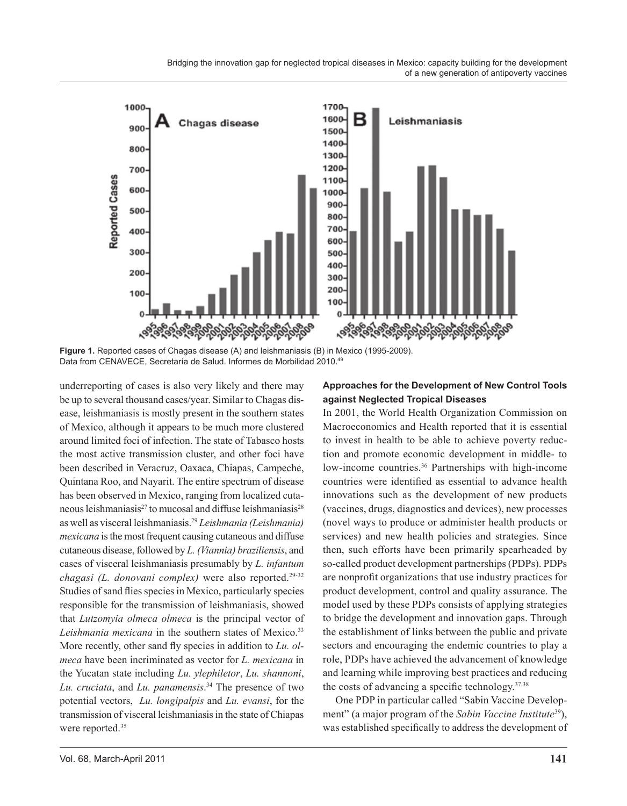Bridging the innovation gap for neglected tropical diseases in Mexico: capacity building for the development of a new generation of antipoverty vaccines



**Figure 1.** Reported cases of Chagas disease (A) and leishmaniasis (B) in Mexico (1995-2009). Data from CENAVECE, Secretaría de Salud. Informes de Morbilidad 2010.49

underreporting of cases is also very likely and there may be up to several thousand cases/year. Similar to Chagas disease, leishmaniasis is mostly present in the southern states of Mexico, although it appears to be much more clustered around limited foci of infection. The state of Tabasco hosts the most active transmission cluster, and other foci have been described in Veracruz, Oaxaca, Chiapas, Campeche, Quintana Roo, and Nayarit. The entire spectrum of disease has been observed in Mexico, ranging from localized cutaneous leishmaniasis $^{27}$  to mucosal and diffuse leishmaniasis $^{28}$ as well as visceral leishmaniasis.29 *Leishmania (Leishmania) mexicana* is the most frequent causing cutaneous and diffuse cutaneous disease, followed by *L. (Viannia) braziliensis*, and cases of visceral leishmaniasis presumably by *L. infantum chagasi (L. donovani complex)* were also reported.29-32 Studies of sand flies species in Mexico, particularly species responsible for the transmission of leishmaniasis, showed that *Lutzomyia olmeca olmeca* is the principal vector of Leishmania mexicana in the southern states of Mexico.<sup>33</sup> More recently, other sand fly species in addition to *Lu. olmeca* have been incriminated as vector for *L. mexicana* in the Yucatan state including *Lu. ylephiletor*, *Lu. shannoni*, *Lu. cruciata*, and *Lu. panamensis*. 34 The presence of two potential vectors, *Lu. longipalpis* and *Lu. evansi*, for the transmission of visceral leishmaniasis in the state of Chiapas were reported.<sup>35</sup>

#### **Approaches for the Development of New Control Tools against Neglected Tropical Diseases**

In 2001, the World Health Organization Commission on Macroeconomics and Health reported that it is essential to invest in health to be able to achieve poverty reduction and promote economic development in middle- to low-income countries.<sup>36</sup> Partnerships with high-income countries were identified as essential to advance health innovations such as the development of new products (vaccines, drugs, diagnostics and devices), new processes (novel ways to produce or administer health products or services) and new health policies and strategies. Since then, such efforts have been primarily spearheaded by so-called product development partnerships (PDPs). PDPs are nonprofit organizations that use industry practices for product development, control and quality assurance. The model used by these PDPs consists of applying strategies to bridge the development and innovation gaps. Through the establishment of links between the public and private sectors and encouraging the endemic countries to play a role, PDPs have achieved the advancement of knowledge and learning while improving best practices and reducing the costs of advancing a specific technology. $37,38$ 

One PDP in particular called "Sabin Vaccine Development" (a major program of the *Sabin Vaccine Institute*39), was established specifically to address the development of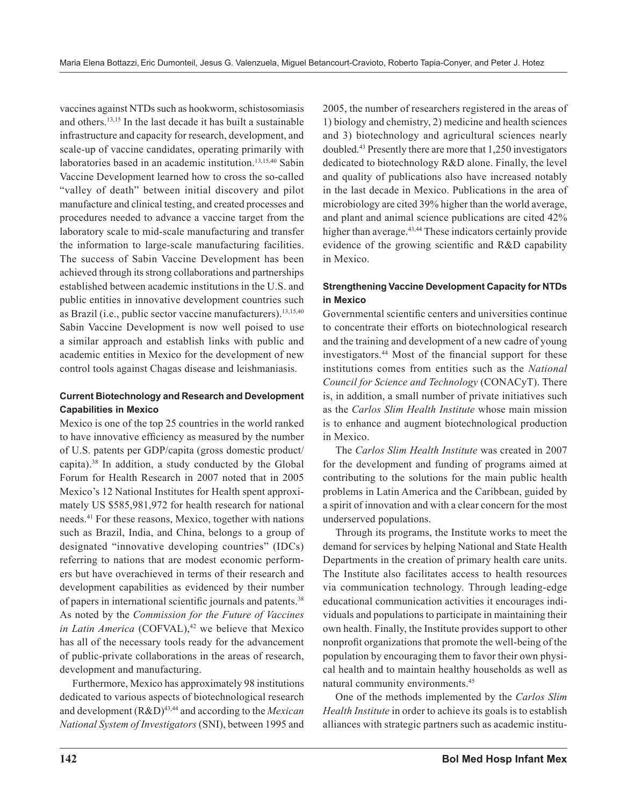vaccines against NTDs such as hookworm, schistosomiasis and others.13,15 In the last decade it has built a sustainable infrastructure and capacity for research, development, and scale-up of vaccine candidates, operating primarily with laboratories based in an academic institution.<sup>13,15,40</sup> Sabin Vaccine Development learned how to cross the so-called "valley of death" between initial discovery and pilot manufacture and clinical testing, and created processes and procedures needed to advance a vaccine target from the laboratory scale to mid-scale manufacturing and transfer the information to large-scale manufacturing facilities. The success of Sabin Vaccine Development has been achieved through its strong collaborations and partnerships established between academic institutions in the U.S. and public entities in innovative development countries such as Brazil (i.e., public sector vaccine manufacturers).<sup>13,15,40</sup> Sabin Vaccine Development is now well poised to use a similar approach and establish links with public and academic entities in Mexico for the development of new control tools against Chagas disease and leishmaniasis.

## **Current Biotechnology and Research and Development Capabilities in Mexico**

Mexico is one of the top 25 countries in the world ranked to have innovative efficiency as measured by the number of U.S. patents per GDP/capita (gross domestic product/ capita).38 In addition, a study conducted by the Global Forum for Health Research in 2007 noted that in 2005 Mexico's 12 National Institutes for Health spent approximately US \$585,981,972 for health research for national needs.41 For these reasons, Mexico, together with nations such as Brazil, India, and China, belongs to a group of designated "innovative developing countries" (IDCs) referring to nations that are modest economic performers but have overachieved in terms of their research and development capabilities as evidenced by their number of papers in international scientific journals and patents.38 As noted by the *Commission for the Future of Vaccines in Latin America* (COFVAL),<sup>42</sup> we believe that Mexico has all of the necessary tools ready for the advancement of public-private collaborations in the areas of research, development and manufacturing.

Furthermore, Mexico has approximately 98 institutions dedicated to various aspects of biotechnological research and development (R&D)43,44 and according to the *Mexican National System of Investigators* (SNI), between 1995 and 2005, the number of researchers registered in the areas of 1) biology and chemistry, 2) medicine and health sciences and 3) biotechnology and agricultural sciences nearly doubled.43 Presently there are more that 1,250 investigators dedicated to biotechnology R&D alone. Finally, the level and quality of publications also have increased notably in the last decade in Mexico. Publications in the area of microbiology are cited 39% higher than the world average, and plant and animal science publications are cited 42% higher than average.<sup>43,44</sup> These indicators certainly provide evidence of the growing scientific and R&D capability in Mexico.

## **Strengthening Vaccine Development Capacity for NTDs in Mexico**

Governmental scientific centers and universities continue to concentrate their efforts on biotechnological research and the training and development of a new cadre of young investigators.44 Most of the financial support for these institutions comes from entities such as the *National Council for Science and Technology* (CONACyT). There is, in addition, a small number of private initiatives such as the *Carlos Slim Health Institute* whose main mission is to enhance and augment biotechnological production in Mexico.

The *Carlos Slim Health Institute* was created in 2007 for the development and funding of programs aimed at contributing to the solutions for the main public health problems in Latin America and the Caribbean, guided by a spirit of innovation and with a clear concern for the most underserved populations.

Through its programs, the Institute works to meet the demand for services by helping National and State Health Departments in the creation of primary health care units. The Institute also facilitates access to health resources via communication technology. Through leading-edge educational communication activities it encourages individuals and populations to participate in maintaining their own health. Finally, the Institute provides support to other nonprofit organizations that promote the well-being of the population by encouraging them to favor their own physical health and to maintain healthy households as well as natural community environments.45

One of the methods implemented by the *Carlos Slim Health Institute* in order to achieve its goals is to establish alliances with strategic partners such as academic institu-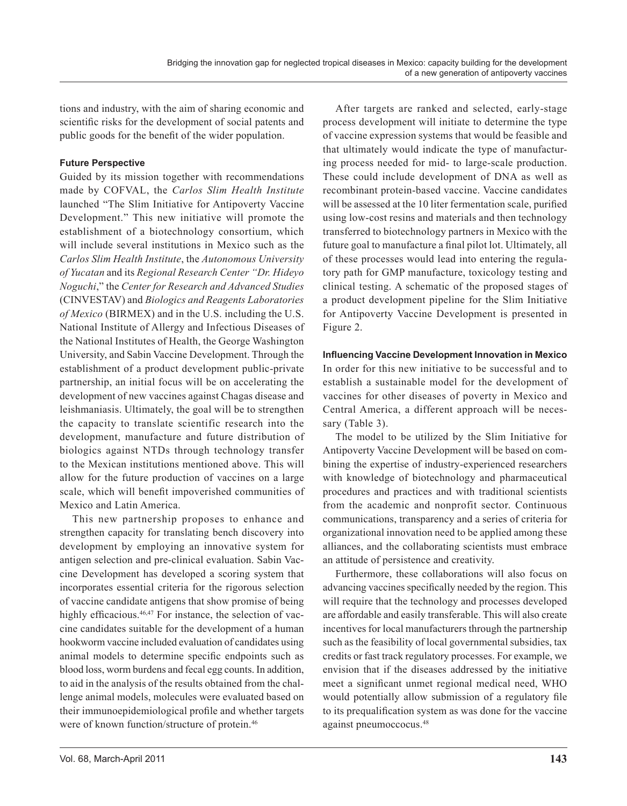tions and industry, with the aim of sharing economic and scientific risks for the development of social patents and public goods for the benefit of the wider population.

#### **Future Perspective**

Guided by its mission together with recommendations made by COFVAL, the *Carlos Slim Health Institute*  launched "The Slim Initiative for Antipoverty Vaccine Development." This new initiative will promote the establishment of a biotechnology consortium, which will include several institutions in Mexico such as the *Carlos Slim Health Institute*, the *Autonomous University of Yucatan* and its *Regional Research Center "Dr. Hideyo Noguchi*," the *Center for Research and Advanced Studies*  (CINVESTAV) and *Biologics and Reagents Laboratories of Mexico* (BIRMEX) and in the U.S. including the U.S. National Institute of Allergy and Infectious Diseases of the National Institutes of Health, the George Washington University, and Sabin Vaccine Development. Through the establishment of a product development public-private partnership, an initial focus will be on accelerating the development of new vaccines against Chagas disease and leishmaniasis. Ultimately, the goal will be to strengthen the capacity to translate scientific research into the development, manufacture and future distribution of biologics against NTDs through technology transfer to the Mexican institutions mentioned above. This will allow for the future production of vaccines on a large scale, which will benefit impoverished communities of Mexico and Latin America.

This new partnership proposes to enhance and strengthen capacity for translating bench discovery into development by employing an innovative system for antigen selection and pre-clinical evaluation. Sabin Vaccine Development has developed a scoring system that incorporates essential criteria for the rigorous selection of vaccine candidate antigens that show promise of being highly efficacious.<sup>46,47</sup> For instance, the selection of vaccine candidates suitable for the development of a human hookworm vaccine included evaluation of candidates using animal models to determine specific endpoints such as blood loss, worm burdens and fecal egg counts. In addition, to aid in the analysis of the results obtained from the challenge animal models, molecules were evaluated based on their immunoepidemiological profile and whether targets were of known function/structure of protein.<sup>46</sup>

After targets are ranked and selected, early-stage process development will initiate to determine the type of vaccine expression systems that would be feasible and that ultimately would indicate the type of manufacturing process needed for mid- to large-scale production. These could include development of DNA as well as recombinant protein-based vaccine. Vaccine candidates will be assessed at the 10 liter fermentation scale, purified using low-cost resins and materials and then technology transferred to biotechnology partners in Mexico with the future goal to manufacture a final pilot lot. Ultimately, all of these processes would lead into entering the regulatory path for GMP manufacture, toxicology testing and clinical testing. A schematic of the proposed stages of a product development pipeline for the Slim Initiative for Antipoverty Vaccine Development is presented in Figure 2.

## **Influencing Vaccine Development Innovation in Mexico**

In order for this new initiative to be successful and to establish a sustainable model for the development of vaccines for other diseases of poverty in Mexico and Central America, a different approach will be necessary (Table 3).

The model to be utilized by the Slim Initiative for Antipoverty Vaccine Development will be based on combining the expertise of industry-experienced researchers with knowledge of biotechnology and pharmaceutical procedures and practices and with traditional scientists from the academic and nonprofit sector. Continuous communications, transparency and a series of criteria for organizational innovation need to be applied among these alliances, and the collaborating scientists must embrace an attitude of persistence and creativity.

Furthermore, these collaborations will also focus on advancing vaccines specifically needed by the region. This will require that the technology and processes developed are affordable and easily transferable. This will also create incentives for local manufacturers through the partnership such as the feasibility of local governmental subsidies, tax credits or fast track regulatory processes. For example, we envision that if the diseases addressed by the initiative meet a significant unmet regional medical need, WHO would potentially allow submission of a regulatory file to its prequalification system as was done for the vaccine against pneumoccocus.48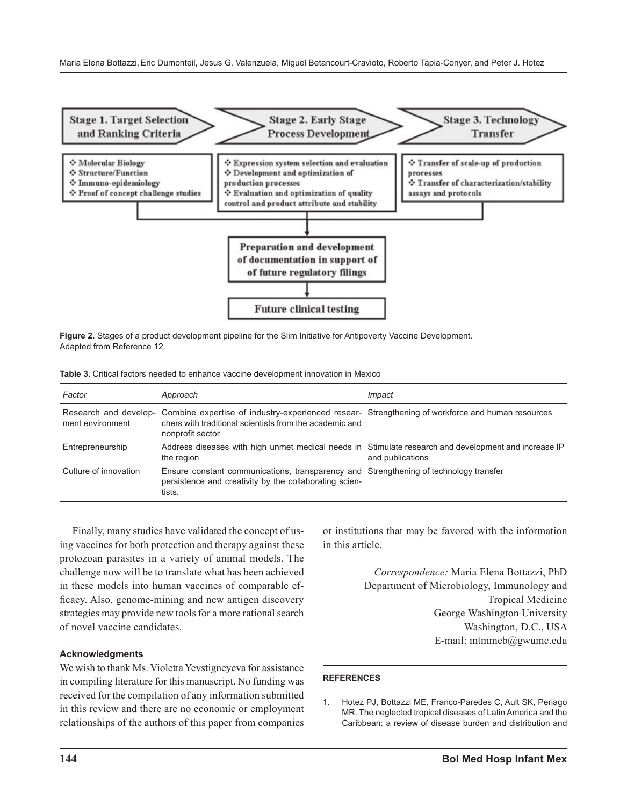

**Figure 2.** Stages of a product development pipeline for the Slim Initiative for Antipoverty Vaccine Development. Adapted from Reference 12.

|  |  |  |  |  |  |  | <b>Table 3.</b> Critical factors needed to enhance vaccine development innovation in Mexico |  |  |  |
|--|--|--|--|--|--|--|---------------------------------------------------------------------------------------------|--|--|--|
|--|--|--|--|--|--|--|---------------------------------------------------------------------------------------------|--|--|--|

| Factor                | Approach                                                                                                                                                                                              | Impact           |
|-----------------------|-------------------------------------------------------------------------------------------------------------------------------------------------------------------------------------------------------|------------------|
| ment environment      | Research and develop- Combine expertise of industry-experienced resear- Strengthening of workforce and human resources<br>chers with traditional scientists from the academic and<br>nonprofit sector |                  |
| Entrepreneurship      | Address diseases with high unmet medical needs in Stimulate research and development and increase IP<br>the region                                                                                    | and publications |
| Culture of innovation | Ensure constant communications, transparency and Strengthening of technology transfer<br>persistence and creativity by the collaborating scien-<br>tists.                                             |                  |

Finally, many studies have validated the concept of using vaccines for both protection and therapy against these protozoan parasites in a variety of animal models. The challenge now will be to translate what has been achieved in these models into human vaccines of comparable efficacy. Also, genome-mining and new antigen discovery strategies may provide new tools for a more rational search of novel vaccine candidates.

#### **Acknowledgments**

We wish to thank Ms. Violetta Yevstigneyeva for assistance in compiling literature for this manuscript. No funding was received for the compilation of any information submitted in this review and there are no economic or employment relationships of the authors of this paper from companies or institutions that may be favored with the information in this article.

> *Correspondence:* Maria Elena Bottazzi, PhD Department of Microbiology, Immunology and Tropical Medicine George Washington University Washington, D.C., USA E-mail: mtmmeb@gwumc.edu

#### **REFERENCES**

1. Hotez PJ, Bottazzi ME, Franco-Paredes C, Ault SK, Periago MR. The neglected tropical diseases of Latin America and the Caribbean: a review of disease burden and distribution and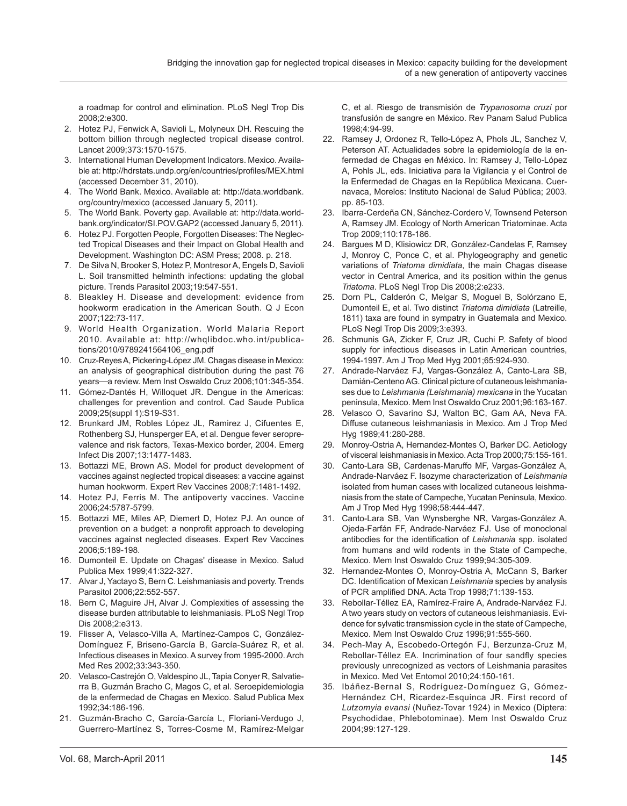a roadmap for control and elimination. PLoS Negl Trop Dis 2008;2:e300.

- 2. Hotez PJ, Fenwick A, Savioli L, Molyneux DH. Rescuing the bottom billion through neglected tropical disease control. Lancet 2009;373:1570-1575.
- 3. International Human Development Indicators. Mexico. Available at: http://hdrstats.undp.org/en/countries/profiles/MEX.html (accessed December 31, 2010).
- 4. The World Bank. Mexico. Available at: http://data.worldbank. org/country/mexico (accessed January 5, 2011).
- 5. The World Bank. Poverty gap. Available at: http://data.worldbank.org/indicator/SI.POV.GAP2 (accessed January 5, 2011).
- 6. Hotez PJ. Forgotten People, Forgotten Diseases: The Neglected Tropical Diseases and their Impact on Global Health and Development. Washington DC: ASM Press; 2008. p. 218.
- 7. De Silva N, Brooker S, Hotez P, Montresor A, Engels D, Savioli L. Soil transmitted helminth infections: updating the global picture. Trends Parasitol 2003;19:547-551.
- 8. Bleakley H. Disease and development: evidence from hookworm eradication in the American South. Q J Econ 2007;122:73-117.
- 9. World Health Organization. World Malaria Report 2010. Available at: http://whqlibdoc.who.int/publications/2010/9789241564106\_eng.pdf
- 10. Cruz-Reyes A, Pickering-López JM. Chagas disease in Mexico: an analysis of geographical distribution during the past 76 years—a review. Mem Inst Oswaldo Cruz 2006;101:345-354.
- 11. Gómez-Dantés H, Willoquet JR. Dengue in the Americas: challenges for prevention and control. Cad Saude Publica 2009;25(suppl 1):S19-S31.
- 12. Brunkard JM, Robles López JL, Ramirez J, Cifuentes E, Rothenberg SJ, Hunsperger EA, et al. Dengue fever seroprevalence and risk factors, Texas-Mexico border, 2004. Emerg Infect Dis 2007;13:1477-1483.
- 13. Bottazzi ME, Brown AS. Model for product development of vaccines against neglected tropical diseases: a vaccine against human hookworm. Expert Rev Vaccines 2008;7:1481-1492.
- 14. Hotez PJ, Ferris M. The antipoverty vaccines. Vaccine 2006;24:5787-5799.
- 15. Bottazzi ME, Miles AP, Diemert D, Hotez PJ. An ounce of prevention on a budget: a nonprofit approach to developing vaccines against neglected diseases. Expert Rev Vaccines 2006;5:189-198.
- 16. Dumonteil E. Update on Chagas' disease in Mexico. Salud Publica Mex 1999;41:322-327.
- 17. Alvar J, Yactayo S, Bern C. Leishmaniasis and poverty. Trends Parasitol 2006;22:552-557.
- 18. Bern C, Maguire JH, Alvar J. Complexities of assessing the disease burden attributable to leishmaniasis. PLoS Negl Trop Dis 2008;2:e313.
- 19. Flisser A, Velasco-Villa A, Martínez-Campos C, González-Domínguez F, Briseno-García B, García-Suárez R, et al. Infectious diseases in Mexico. A survey from 1995-2000. Arch Med Res 2002;33:343-350.
- 20. Velasco-Castrejón O, Valdespino JL, Tapia Conyer R, Salvatierra B, Guzmán Bracho C, Magos C, et al. Seroepidemiologia de la enfermedad de Chagas en Mexico. Salud Publica Mex 1992;34:186-196.
- 21. Guzmán-Bracho C, García-García L, Floriani-Verdugo J, Guerrero-Martínez S, Torres-Cosme M, Ramírez-Melgar

C, et al. Riesgo de transmisión de *Trypanosoma cruzi* por transfusión de sangre en México. Rev Panam Salud Publica 1998;4:94-99.

- 22. Ramsey J, Ordonez R, Tello-López A, Phols JL, Sanchez V, Peterson AT. Actualidades sobre la epidemiología de la enfermedad de Chagas en México. In: Ramsey J, Tello-López A, Pohls JL, eds. Iniciativa para la Vigilancia y el Control de la Enfermedad de Chagas en la República Mexicana. Cuernavaca, Morelos: Instituto Nacional de Salud Pública; 2003. pp. 85-103.
- 23. Ibarra-Cerdeña CN, Sánchez-Cordero V, Townsend Peterson A, Ramsey JM. Ecology of North American Triatominae. Acta Trop 2009;110:178-186.
- 24. Bargues M D, Klisiowicz DR, González-Candelas F, Ramsey J, Monroy C, Ponce C, et al. Phylogeography and genetic variations of *Triatoma dimidiata*, the main Chagas disease vector in Central America, and its position within the genus *Triatoma*. PLoS Negl Trop Dis 2008;2:e233.
- 25. Dorn PL, Calderón C, Melgar S, Moguel B, Solórzano E, Dumonteil E, et al. Two distinct *Triatoma dimidiata* (Latreille, 1811) taxa are found in sympatry in Guatemala and Mexico. PLoS Negl Trop Dis 2009;3:e393.
- 26. Schmunis GA, Zicker F, Cruz JR, Cuchi P. Safety of blood supply for infectious diseases in Latin American countries, 1994-1997. Am J Trop Med Hyg 2001;65:924-930.
- 27. Andrade-Narváez FJ, Vargas-González A, Canto-Lara SB, Damián-Centeno AG. Clinical picture of cutaneous leishmaniases due to *Leishmania (Leishmania) mexicana* in the Yucatan peninsula, Mexico. Mem Inst Oswaldo Cruz 2001;96:163-167.
- 28. Velasco O, Savarino SJ, Walton BC, Gam AA, Neva FA. Diffuse cutaneous leishmaniasis in Mexico. Am J Trop Med Hyg 1989;41:280-288.
- 29. Monroy-Ostria A, Hernandez-Montes O, Barker DC. Aetiology of visceral leishmaniasis in Mexico. Acta Trop 2000;75:155-161.
- 30. Canto-Lara SB, Cardenas-Maruffo MF, Vargas-González A, Andrade-Narváez F. Isozyme characterization of *Leishmania* isolated from human cases with localized cutaneous leishmaniasis from the state of Campeche, Yucatan Peninsula, Mexico. Am J Trop Med Hyg 1998;58:444-447.
- 31. Canto-Lara SB, Van Wynsberghe NR, Vargas-González A, Ojeda-Farfán FF, Andrade-Narváez FJ. Use of monoclonal antibodies for the identification of *Leishmania* spp. isolated from humans and wild rodents in the State of Campeche, Mexico. Mem Inst Oswaldo Cruz 1999;94:305-309.
- 32. Hernandez-Montes O, Monroy-Ostria A, McCann S, Barker DC. Identification of Mexican *Leishmania* species by analysis of PCR amplified DNA. Acta Trop 1998;71:139-153.
- 33. Rebollar-Téllez EA, Ramírez-Fraire A, Andrade-Narváez FJ. A two years study on vectors of cutaneous leishmaniasis. Evidence for sylvatic transmission cycle in the state of Campeche, Mexico. Mem Inst Oswaldo Cruz 1996;91:555-560.
- 34. Pech-May A, Escobedo-Ortegón FJ, Berzunza-Cruz M, Rebollar-Téllez EA. Incrimination of four sandfly species previously unrecognized as vectors of Leishmania parasites in Mexico. Med Vet Entomol 2010;24:150-161.
- 35. Ibáñez-Bernal S, Rodríguez-Domínguez G, Gómez-Hernández CH, Ricardez-Esquinca JR. First record of *Lutzomyia evansi* (Nuñez-Tovar 1924) in Mexico (Diptera: Psychodidae, Phlebotominae). Mem Inst Oswaldo Cruz 2004;99:127-129.